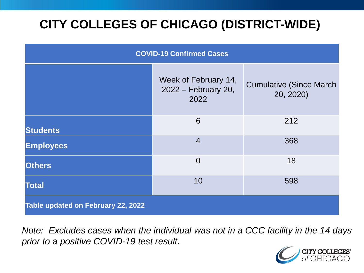# **CITY COLLEGES OF CHICAGO (DISTRICT-WIDE)**

| <b>COVID-19 Confirmed Cases</b>    |                                                     |                                              |
|------------------------------------|-----------------------------------------------------|----------------------------------------------|
|                                    | Week of February 14,<br>2022 - February 20,<br>2022 | <b>Cumulative (Since March)</b><br>20, 2020) |
| <b>Students</b>                    | 6                                                   | 212                                          |
| <b>Employees</b>                   | $\overline{4}$                                      | 368                                          |
| <b>Others</b>                      | $\overline{0}$                                      | 18                                           |
| <b>Total</b>                       | 10                                                  | 598                                          |
| Table updated on February 22, 2022 |                                                     |                                              |

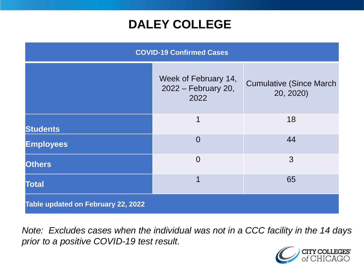## **DALEY COLLEGE**

| <b>COVID-19 Confirmed Cases</b>    |                                                     |                                              |
|------------------------------------|-----------------------------------------------------|----------------------------------------------|
|                                    | Week of February 14,<br>2022 – February 20,<br>2022 | <b>Cumulative (Since March)</b><br>20, 2020) |
| <b>Students</b>                    | 1                                                   | 18                                           |
| <b>Employees</b>                   | $\overline{0}$                                      | 44                                           |
| <b>Others</b>                      | $\overline{0}$                                      | 3                                            |
| <b>Total</b>                       | 1                                                   | 65                                           |
| Table updated on February 22, 2022 |                                                     |                                              |

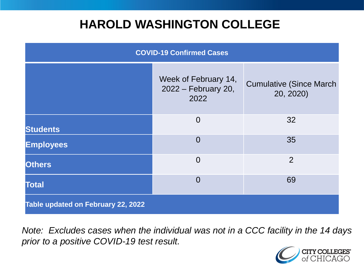## **HAROLD WASHINGTON COLLEGE**

| <b>COVID-19 Confirmed Cases</b>    |                                                     |                                              |
|------------------------------------|-----------------------------------------------------|----------------------------------------------|
|                                    | Week of February 14,<br>2022 – February 20,<br>2022 | <b>Cumulative (Since March)</b><br>20, 2020) |
| <b>Students</b>                    | $\overline{0}$                                      | 32                                           |
| <b>Employees</b>                   | $\Omega$                                            | 35                                           |
| <b>Others</b>                      | $\overline{0}$                                      | 2                                            |
| <b>Total</b>                       | $\Omega$                                            | 69                                           |
| Table updated on February 22, 2022 |                                                     |                                              |

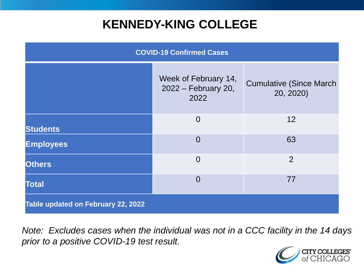## **KENNEDY-KING COLLEGE**

| <b>COVID-19 Confirmed Cases</b>    |                                                     |                                              |
|------------------------------------|-----------------------------------------------------|----------------------------------------------|
|                                    | Week of February 14,<br>2022 – February 20,<br>2022 | <b>Cumulative (Since March)</b><br>20, 2020) |
| <b>Students</b>                    | $\overline{0}$                                      | 12                                           |
| <b>Employees</b>                   | $\overline{0}$                                      | 63                                           |
| <b>Others</b>                      | $\overline{0}$                                      | 2                                            |
| <b>Total</b>                       | $\overline{0}$                                      | 77                                           |
| Table updated on February 22, 2022 |                                                     |                                              |

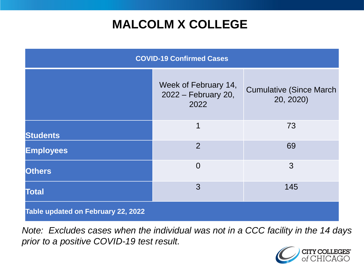# **MALCOLM X COLLEGE**

| <b>COVID-19 Confirmed Cases</b>    |                                                     |                                              |
|------------------------------------|-----------------------------------------------------|----------------------------------------------|
|                                    | Week of February 14,<br>2022 – February 20,<br>2022 | <b>Cumulative (Since March)</b><br>20, 2020) |
| <b>Students</b>                    | 1                                                   | 73                                           |
| <b>Employees</b>                   | $\overline{2}$                                      | 69                                           |
| <b>Others</b>                      | $\overline{0}$                                      | 3                                            |
| <b>Total</b>                       | 3                                                   | 145                                          |
| Table updated on February 22, 2022 |                                                     |                                              |

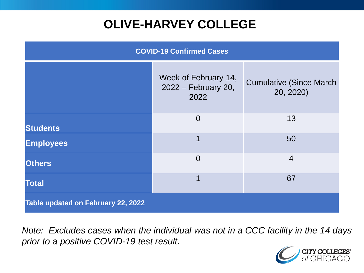# **OLIVE-HARVEY COLLEGE**

| <b>COVID-19 Confirmed Cases</b>    |                                                     |                                              |
|------------------------------------|-----------------------------------------------------|----------------------------------------------|
|                                    | Week of February 14,<br>2022 – February 20,<br>2022 | <b>Cumulative (Since March)</b><br>20, 2020) |
| <b>Students</b>                    | $\overline{0}$                                      | 13                                           |
| <b>Employees</b>                   |                                                     | 50                                           |
| <b>Others</b>                      | $\overline{0}$                                      | $\overline{4}$                               |
| <b>Total</b>                       | 1                                                   | 67                                           |
| Table updated on February 22, 2022 |                                                     |                                              |

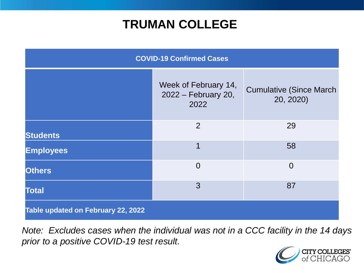## **TRUMAN COLLEGE**

| <b>COVID-19 Confirmed Cases</b>    |                                                     |                                              |
|------------------------------------|-----------------------------------------------------|----------------------------------------------|
|                                    | Week of February 14,<br>2022 – February 20,<br>2022 | <b>Cumulative (Since March)</b><br>20, 2020) |
| <b>Students</b>                    | $\overline{2}$                                      | 29                                           |
| <b>Employees</b>                   | 1                                                   | 58                                           |
| <b>Others</b>                      | $\overline{0}$                                      | $\overline{0}$                               |
| <b>Total</b>                       | 3                                                   | 87                                           |
| Table updated on February 22, 2022 |                                                     |                                              |

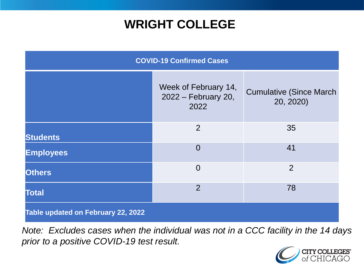## **WRIGHT COLLEGE**

| <b>COVID-19 Confirmed Cases</b>    |                                                     |                                              |
|------------------------------------|-----------------------------------------------------|----------------------------------------------|
|                                    | Week of February 14,<br>2022 – February 20,<br>2022 | <b>Cumulative (Since March)</b><br>20, 2020) |
| <b>Students</b>                    | $\overline{2}$                                      | 35                                           |
| <b>Employees</b>                   | $\overline{0}$                                      | 41                                           |
| <b>Others</b>                      | $\overline{0}$                                      | $\overline{2}$                               |
| <b>Total</b>                       | $\overline{2}$                                      | 78                                           |
| Table updated on February 22, 2022 |                                                     |                                              |

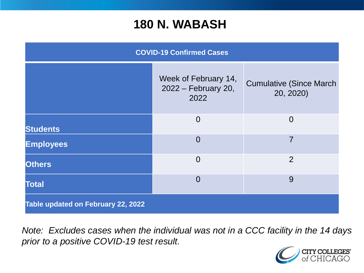#### **180 N. WABASH**

| <b>COVID-19 Confirmed Cases</b>    |                                                     |                                              |
|------------------------------------|-----------------------------------------------------|----------------------------------------------|
|                                    | Week of February 14,<br>2022 – February 20,<br>2022 | <b>Cumulative (Since March)</b><br>20, 2020) |
| <b>Students</b>                    | $\overline{0}$                                      | $\overline{0}$                               |
| <b>Employees</b>                   | $\overline{0}$                                      | 7                                            |
| <b>Others</b>                      | $\overline{0}$                                      | 2                                            |
| <b>Total</b>                       | $\overline{0}$                                      | 9                                            |
| Table updated on February 22, 2022 |                                                     |                                              |